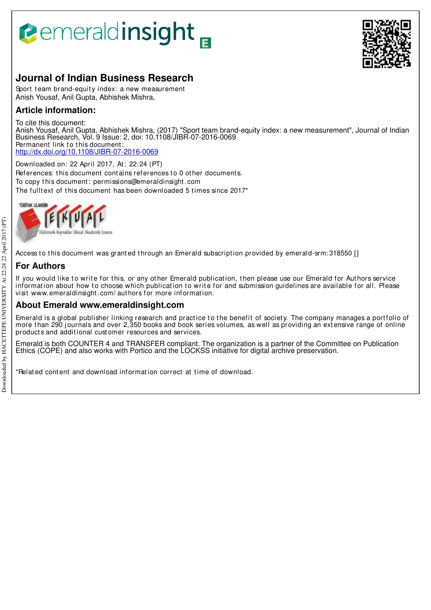# **Pemeraldinsight**



# **Journal of Indian Business Research**

Sport team brand-equity index: a new measurement Anish Yousaf, Anil Gupta, Abhishek Mishra,

# **Article information:**

To cite this document: Anish Yousaf, Anil Gupta, Abhishek Mishra, (2017) "Sport team brand-equity index: a new measurement", Journal of Indian Business Research, Vol. 9 Issue: 2, doi: 10.1108/JIBR-07-2016-0069 Permanent link to this document: http://dx.doi.org/10.1108/JIBR-07-2016-0069

Downloaded on: 22 April 2017, At : 22:24 (PT) References: this document contains references to 0 other documents. To copy t his document : permissions@emeraldinsight .com The fulltext of this document has been downloaded 5 times since 2017<sup>\*</sup>



Access to this document was granted through an Emerald subscription provided by emerald-srm:318550 []

# **For Authors**

If you would like to write for this, or any other Emerald publication, then please use our Emerald for Authors service information about how to choose which publication to write for and submission guidelines are available for all. Please visit www.emeraldinsight .com/ aut hors for more informat ion.

# **About Emerald www.emeraldinsight.com**

Emerald is a global publisher linking research and practice to the benefit of society. The company manages a portfolio of more than 290 journals and over 2,350 books and book series volumes, as well as providing an extensive range of online products and additional customer resources and services.

Emerald is both COUNTER 4 and TRANSFER compliant. The organization is a partner of the Committee on Publication Ethics (COPE) and also works with Portico and the LOCKSS initiative for digital archive preservation.

\*Relat ed cont ent and download informat ion correct at t ime of download.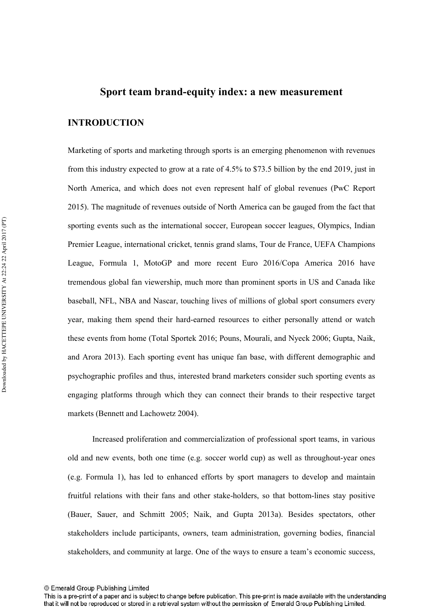# **Sport team brand-equity index: a new measurement**

# **INTRODUCTION**

Marketing of sports and marketing through sports is an emerging phenomenon with revenues from this industry expected to grow at a rate of 4.5% to \$73.5 billion by the end 2019, just in North America, and which does not even represent half of global revenues (PwC Report 2015). The magnitude of revenues outside of North America can be gauged from the fact that sporting events such as the international soccer, European soccer leagues, Olympics, Indian Premier League, international cricket, tennis grand slams, Tour de France, UEFA Champions League, Formula 1, MotoGP and more recent Euro 2016/Copa America 2016 have tremendous global fan viewership, much more than prominent sports in US and Canada like baseball, NFL, NBA and Nascar, touching lives of millions of global sport consumers every year, making them spend their hard-earned resources to either personally attend or watch these events from home (Total Sportek 2016; Pouns, Mourali, and Nyeck 2006; Gupta, Naik, and Arora 2013). Each sporting event has unique fan base, with different demographic and psychographic profiles and thus, interested brand marketers consider such sporting events as engaging platforms through which they can connect their brands to their respective target markets (Bennett and Lachowetz 2004).

Increased proliferation and commercialization of professional sport teams, in various old and new events, both one time (e.g. soccer world cup) as well as throughout-year ones (e.g. Formula 1), has led to enhanced efforts by sport managers to develop and maintain fruitful relations with their fans and other stake-holders, so that bottom-lines stay positive (Bauer, Sauer, and Schmitt 2005; Naik, and Gupta 2013a). Besides spectators, other stakeholders include participants, owners, team administration, governing bodies, financial stakeholders, and community at large. One of the ways to ensure a team's economic success,

<sup>©</sup> Emerald Group Publishing Limited

This is a pre-print of a paper and is subject to change before publication. This pre-print is made available with the understanding that it will not be reproduced or stored in a retrieval system without the permission of Emerald Group Publishing Limited.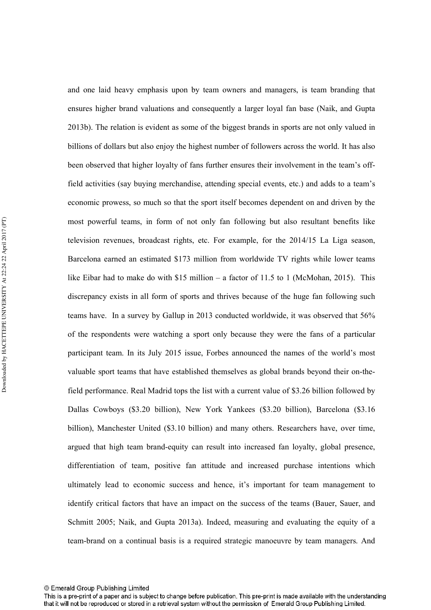and one laid heavy emphasis upon by team owners and managers, is team branding that ensures higher brand valuations and consequently a larger loyal fan base (Naik, and Gupta 2013b). The relation is evident as some of the biggest brands in sports are not only valued in billions of dollars but also enjoy the highest number of followers across the world. It has also been observed that higher loyalty of fans further ensures their involvement in the team's offfield activities (say buying merchandise, attending special events, etc.) and adds to a team's economic prowess, so much so that the sport itself becomes dependent on and driven by the most powerful teams, in form of not only fan following but also resultant benefits like television revenues, broadcast rights, etc. For example, for the 2014/15 La Liga season, Barcelona earned an estimated \$173 million from worldwide TV rights while lower teams like Eibar had to make do with \$15 million – a factor of 11.5 to 1 (McMohan, 2015). This discrepancy exists in all form of sports and thrives because of the huge fan following such teams have. In a survey by Gallup in 2013 conducted worldwide, it was observed that 56% of the respondents were watching a sport only because they were the fans of a particular participant team. In its July 2015 issue, Forbes announced the names of the world's most valuable sport teams that have established themselves as global brands beyond their on:the: field performance. Real Madrid tops the list with a current value of \$3.26 billion followed by Dallas Cowboys (\$3.20 billion), New York Yankees (\$3.20 billion), Barcelona (\$3.16 billion), Manchester United (\$3.10 billion) and many others. Researchers have, over time, argued that high team brand-equity can result into increased fan loyalty, global presence, differentiation of team, positive fan attitude and increased purchase intentions which ultimately lead to economic success and hence, it's important for team management to identify critical factors that have an impact on the success of the teams (Bauer, Sauer, and Schmitt 2005; Naik, and Gupta 2013a). Indeed, measuring and evaluating the equity of a team:brand on a continual basis is a required strategic manoeuvre by team managers. And

<sup>©</sup> Emerald Group Publishing Limited

This is a pre-print of a paper and is subject to change before publication. This pre-print is made available with the understanding that it will not be reproduced or stored in a retrieval system without the permission of Emerald Group Publishing Limited.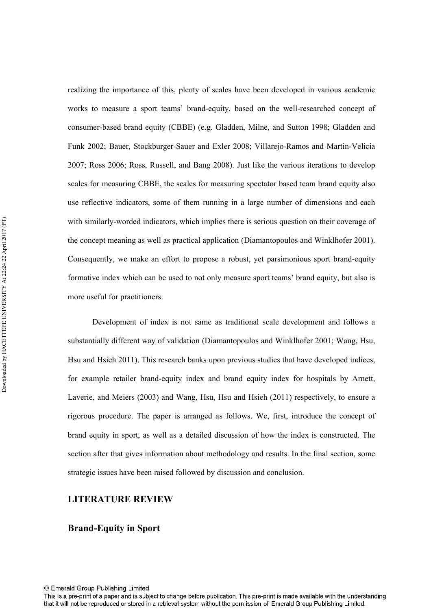realizing the importance of this, plenty of scales have been developed in various academic works to measure a sport teams' brand-equity, based on the well-researched concept of consumer:based brand equity (CBBE) (e.g. Gladden, Milne, and Sutton 1998; Gladden and Funk 2002; Bauer, Stockburger-Sauer and Exler 2008; Villarejo-Ramos and Martin-Velicia 2007; Ross 2006; Ross, Russell, and Bang 2008). Just like the various iterations to develop scales for measuring CBBE, the scales for measuring spectator based team brand equity also use reflective indicators, some of them running in a large number of dimensions and each with similarly-worded indicators, which implies there is serious question on their coverage of the concept meaning as well as practical application (Diamantopoulos and Winklhofer 2001). Consequently, we make an effort to propose a robust, yet parsimonious sport brand:equity formative index which can be used to not only measure sport teams' brand equity, but also is more useful for practitioners.

Development of index is not same as traditional scale development and follows a substantially different way of validation (Diamantopoulos and Winklhofer 2001; Wang, Hsu, Hsu and Hsieh 2011). This research banks upon previous studies that have developed indices, for example retailer brand-equity index and brand equity index for hospitals by Arnett, Laverie, and Meiers (2003) and Wang, Hsu, Hsu and Hsieh (2011) respectively, to ensure a rigorous procedure. The paper is arranged as follows. We, first, introduce the concept of brand equity in sport, as well as a detailed discussion of how the index is constructed. The section after that gives information about methodology and results. In the final section, some strategic issues have been raised followed by discussion and conclusion.

## **LITERATURE REVIEW**

# **Brand-Equity in Sport**

This is a pre-print of a paper and is subject to change before publication. This pre-print is made available with the understanding that it will not be reproduced or stored in a retrieval system without the permission of Emerald Group Publishing Limited.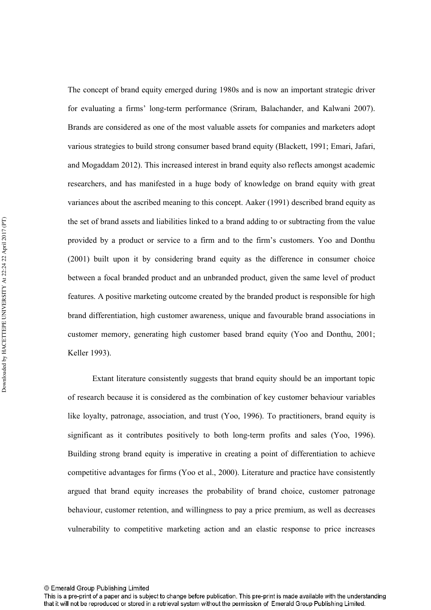The concept of brand equity emerged during 1980s and is now an important strategic driver for evaluating a firms' long-term performance (Sriram, Balachander, and Kalwani 2007). Brands are considered as one of the most valuable assets for companies and marketers adopt various strategies to build strong consumer based brand equity (Blackett, 1991; Emari, Jafari, and Mogaddam 2012). This increased interest in brand equity also reflects amongst academic researchers, and has manifested in a huge body of knowledge on brand equity with great variances about the ascribed meaning to this concept. Aaker (1991) described brand equity as the set of brand assets and liabilities linked to a brand adding to or subtracting from the value provided by a product or service to a firm and to the firm's customers. Yoo and Donthu (2001) built upon it by considering brand equity as the difference in consumer choice between a focal branded product and an unbranded product, given the same level of product features. A positive marketing outcome created by the branded product is responsible for high brand differentiation, high customer awareness, unique and favourable brand associations in customer memory, generating high customer based brand equity (Yoo and Donthu, 2001; Keller 1993).

Extant literature consistently suggests that brand equity should be an important topic of research because it is considered as the combination of key customer behaviour variables like loyalty, patronage, association, and trust (Yoo, 1996). To practitioners, brand equity is significant as it contributes positively to both long-term profits and sales (Yoo, 1996). Building strong brand equity is imperative in creating a point of differentiation to achieve competitive advantages for firms (Yoo et al., 2000). Literature and practice have consistently argued that brand equity increases the probability of brand choice, customer patronage behaviour, customer retention, and willingness to pay a price premium, as well as decreases vulnerability to competitive marketing action and an elastic response to price increases

This is a pre-print of a paper and is subject to change before publication. This pre-print is made available with the understanding that it will not be reproduced or stored in a retrieval system without the permission of Emerald Group Publishing Limited.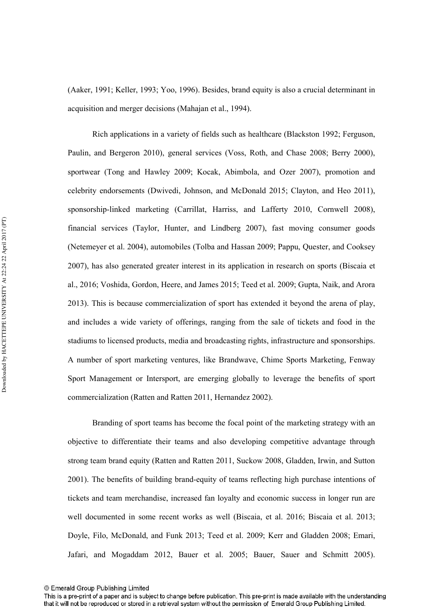(Aaker, 1991; Keller, 1993; Yoo, 1996). Besides, brand equity is also a crucial determinant in acquisition and merger decisions (Mahajan et al., 1994).

Rich applications in a variety of fields such as healthcare (Blackston 1992; Ferguson, Paulin, and Bergeron 2010), general services (Voss, Roth, and Chase 2008; Berry 2000), sportwear (Tong and Hawley 2009; Kocak, Abimbola, and Ozer 2007), promotion and celebrity endorsements (Dwivedi, Johnson, and McDonald 2015; Clayton, and Heo 2011), sponsorship-linked marketing (Carrillat, Harriss, and Lafferty 2010, Cornwell 2008), financial services (Taylor, Hunter, and Lindberg 2007), fast moving consumer goods (Netemeyer et al. 2004), automobiles (Tolba and Hassan 2009; Pappu, Quester, and Cooksey 2007), has also generated greater interest in its application in research on sports (Biscaia et al., 2016; Voshida, Gordon, Heere, and James 2015; Teed et al. 2009; Gupta, Naik, and Arora 2013). This is because commercialization of sport has extended it beyond the arena of play, and includes a wide variety of offerings, ranging from the sale of tickets and food in the stadiums to licensed products, media and broadcasting rights, infrastructure and sponsorships. A number of sport marketing ventures, like Brandwave, Chime Sports Marketing, Fenway Sport Management or Intersport, are emerging globally to leverage the benefits of sport commercialization (Ratten and Ratten 2011, Hernandez 2002).

Branding of sport teams has become the focal point of the marketing strategy with an objective to differentiate their teams and also developing competitive advantage through strong team brand equity (Ratten and Ratten 2011, Suckow 2008, Gladden, Irwin, and Sutton 2001). The benefits of building brand:equity of teams reflecting high purchase intentions of tickets and team merchandise, increased fan loyalty and economic success in longer run are well documented in some recent works as well (Biscaia, et al. 2016; Biscaia et al. 2013; Doyle, Filo, McDonald, and Funk 2013; Teed et al. 2009; Kerr and Gladden 2008; Emari, Jafari, and Mogaddam 2012, Bauer et al. 2005; Bauer, Sauer and Schmitt 2005).

<sup>©</sup> Emerald Group Publishing Limited

This is a pre-print of a paper and is subject to change before publication. This pre-print is made available with the understanding that it will not be reproduced or stored in a retrieval system without the permission of Emerald Group Publishing Limited.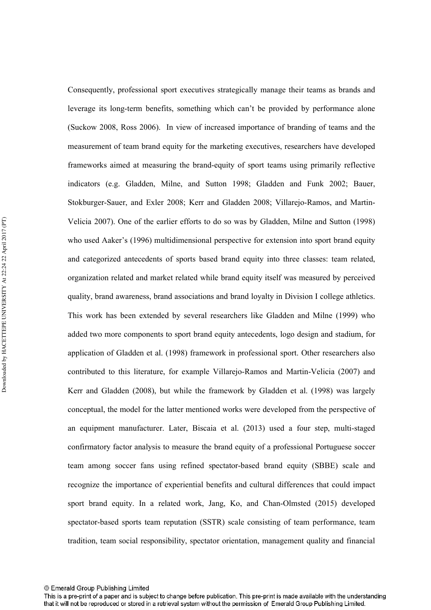Consequently, professional sport executives strategically manage their teams as brands and leverage its long-term benefits, something which can't be provided by performance alone (Suckow 2008, Ross 2006). In view of increased importance of branding of teams and the measurement of team brand equity for the marketing executives, researchers have developed frameworks aimed at measuring the brand-equity of sport teams using primarily reflective indicators (e.g. Gladden, Milne, and Sutton 1998; Gladden and Funk 2002; Bauer, Stokburger-Sauer, and Exler 2008; Kerr and Gladden 2008; Villarejo-Ramos, and Martin-Velicia 2007). One of the earlier efforts to do so was by Gladden, Milne and Sutton (1998) who used Aaker's (1996) multidimensional perspective for extension into sport brand equity and categorized antecedents of sports based brand equity into three classes: team related, organization related and market related while brand equity itself was measured by perceived quality, brand awareness, brand associations and brand loyalty in Division I college athletics. This work has been extended by several researchers like Gladden and Milne (1999) who added two more components to sport brand equity antecedents, logo design and stadium, for application of Gladden et al. (1998) framework in professional sport. Other researchers also contributed to this literature, for example Villarejo-Ramos and Martin-Velicia (2007) and Kerr and Gladden (2008), but while the framework by Gladden et al. (1998) was largely conceptual, the model for the latter mentioned works were developed from the perspective of an equipment manufacturer. Later, Biscaia et al. (2013) used a four step, multi-staged confirmatory factor analysis to measure the brand equity of a professional Portuguese soccer team among soccer fans using refined spectator:based brand equity (SBBE) scale and recognize the importance of experiential benefits and cultural differences that could impact sport brand equity. In a related work, Jang, Ko, and Chan-Olmsted (2015) developed spectator-based sports team reputation (SSTR) scale consisting of team performance, team tradition, team social responsibility, spectator orientation, management quality and financial

<sup>©</sup> Emerald Group Publishing Limited

This is a pre-print of a paper and is subject to change before publication. This pre-print is made available with the understanding that it will not be reproduced or stored in a retrieval system without the permission of Emerald Group Publishing Limited.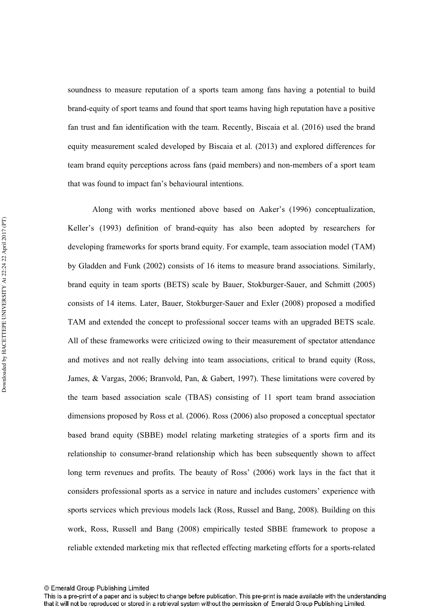soundness to measure reputation of a sports team among fans having a potential to build brand:equity of sport teams and found that sport teams having high reputation have a positive fan trust and fan identification with the team. Recently, Biscaia et al. (2016) used the brand equity measurement scaled developed by Biscaia et al. (2013) and explored differences for team brand equity perceptions across fans (paid members) and non-members of a sport team that was found to impact fan's behavioural intentions.

Along with works mentioned above based on Aaker's (1996) conceptualization, Keller's (1993) definition of brand-equity has also been adopted by researchers for developing frameworks for sports brand equity. For example, team association model (TAM) by Gladden and Funk (2002) consists of 16 items to measure brand associations. Similarly, brand equity in team sports (BETS) scale by Bauer, Stokburger:Sauer, and Schmitt (2005) consists of 14 items. Later, Bauer, Stokburger:Sauer and Exler (2008) proposed a modified TAM and extended the concept to professional soccer teams with an upgraded BETS scale. All of these frameworks were criticized owing to their measurement of spectator attendance and motives and not really delving into team associations, critical to brand equity (Ross, James, & Vargas, 2006; Branvold, Pan, & Gabert, 1997). These limitations were covered by the team based association scale (TBAS) consisting of 11 sport team brand association dimensions proposed by Ross et al. (2006). Ross (2006) also proposed a conceptual spectator based brand equity (SBBE) model relating marketing strategies of a sports firm and its relationship to consumer:brand relationship which has been subsequently shown to affect long term revenues and profits. The beauty of Ross' (2006) work lays in the fact that it considers professional sports as a service in nature and includes customers' experience with sports services which previous models lack (Ross, Russel and Bang, 2008). Building on this work, Ross, Russell and Bang (2008) empirically tested SBBE framework to propose a reliable extended marketing mix that reflected effecting marketing efforts for a sports:related

<sup>©</sup> Emerald Group Publishing Limited

This is a pre-print of a paper and is subject to change before publication. This pre-print is made available with the understanding that it will not be reproduced or stored in a retrieval system without the permission of Emerald Group Publishing Limited.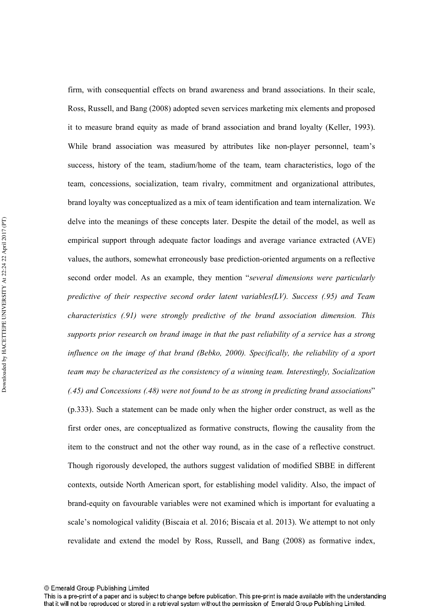firm, with consequential effects on brand awareness and brand associations. In their scale, Ross, Russell, and Bang (2008) adopted seven services marketing mix elements and proposed it to measure brand equity as made of brand association and brand loyalty (Keller, 1993). While brand association was measured by attributes like non-player personnel, team's success, history of the team, stadium/home of the team, team characteristics, logo of the team, concessions, socialization, team rivalry, commitment and organizational attributes, brand loyalty was conceptualized as a mix of team identification and team internalization. We delve into the meanings of these concepts later. Despite the detail of the model, as well as empirical support through adequate factor loadings and average variance extracted (AVE) values, the authors, somewhat erroneously base prediction:oriented arguments on a reflective second order model. As an example, they mention "several dimensions were particularly predictive of their respective second order latent variables(LV). Success (.95) and Team characteristics (.91) were strongly predictive of the brand association dimension. This supports prior research on brand image in that the past reliability of a service has a strong influence on the image of that brand (Bebko, 2000). Specifically, the reliability of a sport team may be characterized as the consistency of a winning team. Interestingly, Socialization (.45) and Concessions (.48) were not found to be as strong in predicting brand associations" (p.333). Such a statement can be made only when the higher order construct, as well as the first order ones, are conceptualized as formative constructs, flowing the causality from the item to the construct and not the other way round, as in the case of a reflective construct. Though rigorously developed, the authors suggest validation of modified SBBE in different contexts, outside North American sport, for establishing model validity. Also, the impact of brand:equity on favourable variables were not examined which is important for evaluating a scale's nomological validity (Biscaia et al. 2016; Biscaia et al. 2013). We attempt to not only revalidate and extend the model by Ross, Russell, and Bang (2008) as formative index,

<sup>©</sup> Emerald Group Publishing Limited

This is a pre-print of a paper and is subject to change before publication. This pre-print is made available with the understanding that it will not be reproduced or stored in a retrieval system without the permission of Emerald Group Publishing Limited.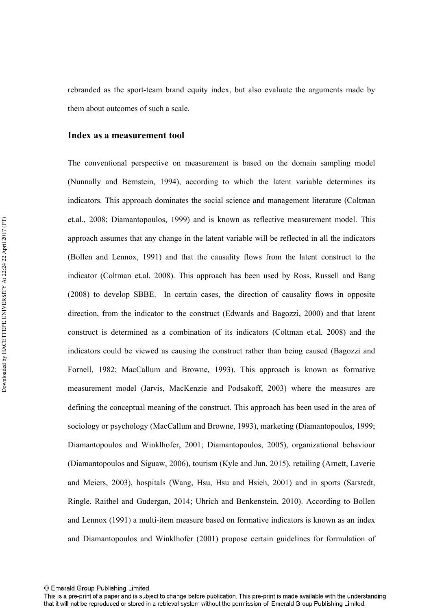rebranded as the sport-team brand equity index, but also evaluate the arguments made by them about outcomes of such a scale.

#### **Index as a measurement tool**

The conventional perspective on measurement is based on the domain sampling model (Nunnally and Bernstein, 1994), according to which the latent variable determines its indicators. This approach dominates the social science and management literature (Coltman et.al., 2008; Diamantopoulos, 1999) and is known as reflective measurement model. This approach assumes that any change in the latent variable will be reflected in all the indicators (Bollen and Lennox, 1991) and that the causality flows from the latent construct to the indicator (Coltman et.al. 2008). This approach has been used by Ross, Russell and Bang (2008) to develop SBBE. In certain cases, the direction of causality flows in opposite direction, from the indicator to the construct (Edwards and Bagozzi, 2000) and that latent construct is determined as a combination of its indicators (Coltman et.al. 2008) and the indicators could be viewed as causing the construct rather than being caused (Bagozzi and Fornell, 1982; MacCallum and Browne, 1993). This approach is known as formative measurement model (Jarvis, MacKenzie and Podsakoff, 2003) where the measures are defining the conceptual meaning of the construct. This approach has been used in the area of sociology or psychology (MacCallum and Browne, 1993), marketing (Diamantopoulos, 1999; Diamantopoulos and Winklhofer, 2001; Diamantopoulos, 2005), organizational behaviour (Diamantopoulos and Siguaw, 2006), tourism (Kyle and Jun, 2015), retailing (Arnett, Laverie and Meiers, 2003), hospitals (Wang, Hsu, Hsu and Hsieh, 2001) and in sports (Sarstedt, Ringle, Raithel and Gudergan, 2014; Uhrich and Benkenstein, 2010). According to Bollen and Lennox (1991) a multi:item measure based on formative indicators is known as an index and Diamantopoulos and Winklhofer (2001) propose certain guidelines for formulation of

<sup>©</sup> Emerald Group Publishing Limited

This is a pre-print of a paper and is subject to change before publication. This pre-print is made available with the understanding that it will not be reproduced or stored in a retrieval system without the permission of Emerald Group Publishing Limited.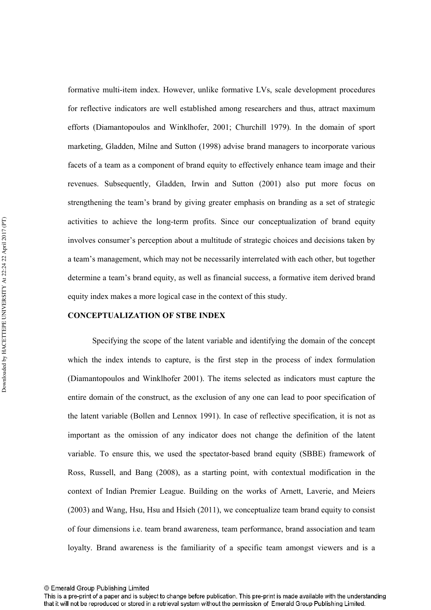formative multi-item index. However, unlike formative LVs, scale development procedures for reflective indicators are well established among researchers and thus, attract maximum efforts (Diamantopoulos and Winklhofer, 2001; Churchill 1979). In the domain of sport marketing, Gladden, Milne and Sutton (1998) advise brand managers to incorporate various facets of a team as a component of brand equity to effectively enhance team image and their revenues. Subsequently, Gladden, Irwin and Sutton (2001) also put more focus on strengthening the team's brand by giving greater emphasis on branding as a set of strategic activities to achieve the long-term profits. Since our conceptualization of brand equity involves consumer's perception about a multitude of strategic choices and decisions taken by a team's management, which may not be necessarily interrelated with each other, but together determine a team's brand equity, as well as financial success, a formative item derived brand equity index makes a more logical case in the context of this study.

## **CONCEPTUALIZATION OF STBE INDEX**

Specifying the scope of the latent variable and identifying the domain of the concept which the index intends to capture, is the first step in the process of index formulation (Diamantopoulos and Winklhofer 2001). The items selected as indicators must capture the entire domain of the construct, as the exclusion of any one can lead to poor specification of the latent variable (Bollen and Lennox 1991). In case of reflective specification, it is not as important as the omission of any indicator does not change the definition of the latent variable. To ensure this, we used the spectator:based brand equity (SBBE) framework of Ross, Russell, and Bang (2008), as a starting point, with contextual modification in the context of Indian Premier League. Building on the works of Arnett, Laverie, and Meiers (2003) and Wang, Hsu, Hsu and Hsieh (2011), we conceptualize team brand equity to consist of four dimensions i.e. team brand awareness, team performance, brand association and team loyalty. Brand awareness is the familiarity of a specific team amongst viewers and is a

<sup>©</sup> Emerald Group Publishing Limited

This is a pre-print of a paper and is subject to change before publication. This pre-print is made available with the understanding that it will not be reproduced or stored in a retrieval system without the permission of Emerald Group Publishing Limited.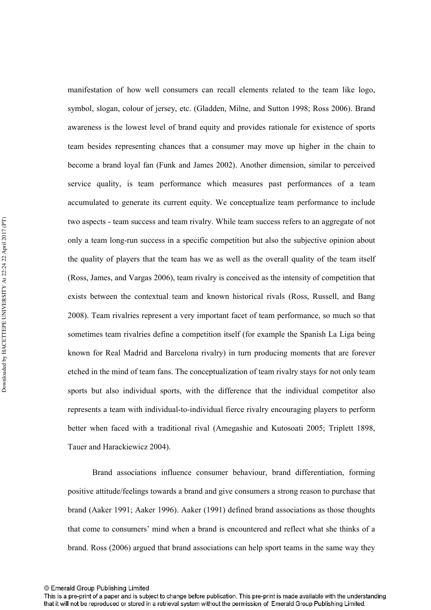manifestation of how well consumers can recall elements related to the team like logo, symbol, slogan, colour of jersey, etc. (Gladden, Milne, and Sutton 1998; Ross 2006). Brand awareness is the lowest level of brand equity and provides rationale for existence of sports team besides representing chances that a consumer may move up higher in the chain to become a brand loyal fan (Funk and James 2002). Another dimension, similar to perceived service quality, is team performance which measures past performances of a team accumulated to generate its current equity. We conceptualize team performance to include two aspects - team success and team rivalry. While team success refers to an aggregate of not only a team long:run success in a specific competition but also the subjective opinion about the quality of players that the team has we as well as the overall quality of the team itself (Ross, James, and Vargas 2006), team rivalry is conceived as the intensity of competition that exists between the contextual team and known historical rivals (Ross, Russell, and Bang 2008). Team rivalries represent a very important facet of team performance, so much so that sometimes team rivalries define a competition itself (for example the Spanish La Liga being known for Real Madrid and Barcelona rivalry) in turn producing moments that are forever etched in the mind of team fans. The conceptualization of team rivalry stays for not only team sports but also individual sports, with the difference that the individual competitor also represents a team with individual-to-individual fierce rivalry encouraging players to perform better when faced with a traditional rival (Amegashie and Kutosoati 2005; Triplett 1898, Tauer and Harackiewicz 2004).

Brand associations influence consumer behaviour, brand differentiation, forming positive attitude/feelings towards a brand and give consumers a strong reason to purchase that brand (Aaker 1991; Aaker 1996). Aaker (1991) defined brand associations as those thoughts that come to consumers' mind when a brand is encountered and reflect what she thinks of a brand. Ross (2006) argued that brand associations can help sport teams in the same way they

<sup>©</sup> Emerald Group Publishing Limited

This is a pre-print of a paper and is subject to change before publication. This pre-print is made available with the understanding that it will not be reproduced or stored in a retrieval system without the permission of Emerald Group Publishing Limited.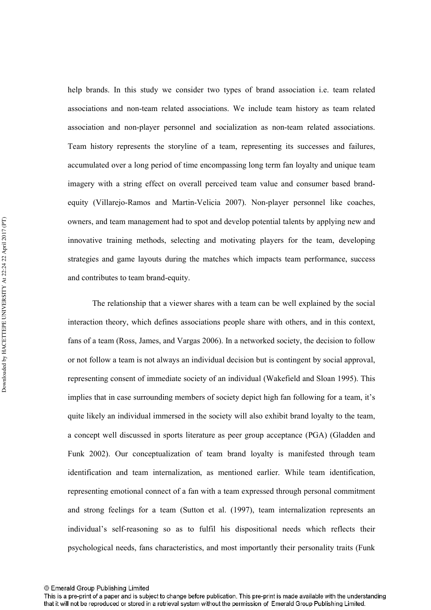help brands. In this study we consider two types of brand association i.e. team related associations and non-team related associations. We include team history as team related association and non-player personnel and socialization as non-team related associations. Team history represents the storyline of a team, representing its successes and failures, accumulated over a long period of time encompassing long term fan loyalty and unique team imagery with a string effect on overall perceived team value and consumer based brand: equity (Villarejo-Ramos and Martin-Velicia 2007). Non-player personnel like coaches, owners, and team management had to spot and develop potential talents by applying new and innovative training methods, selecting and motivating players for the team, developing strategies and game layouts during the matches which impacts team performance, success and contributes to team brand-equity.

The relationship that a viewer shares with a team can be well explained by the social interaction theory, which defines associations people share with others, and in this context, fans of a team (Ross, James, and Vargas 2006). In a networked society, the decision to follow or not follow a team is not always an individual decision but is contingent by social approval, representing consent of immediate society of an individual (Wakefield and Sloan 1995). This implies that in case surrounding members of society depict high fan following for a team, it's quite likely an individual immersed in the society will also exhibit brand loyalty to the team, a concept well discussed in sports literature as peer group acceptance (PGA) (Gladden and Funk 2002). Our conceptualization of team brand loyalty is manifested through team identification and team internalization, as mentioned earlier. While team identification, representing emotional connect of a fan with a team expressed through personal commitment and strong feelings for a team (Sutton et al. (1997), team internalization represents an individual's self-reasoning so as to fulfil his dispositional needs which reflects their psychological needs, fans characteristics, and most importantly their personality traits (Funk

This is a pre-print of a paper and is subject to change before publication. This pre-print is made available with the understanding that it will not be reproduced or stored in a retrieval system without the permission of Emerald Group Publishing Limited.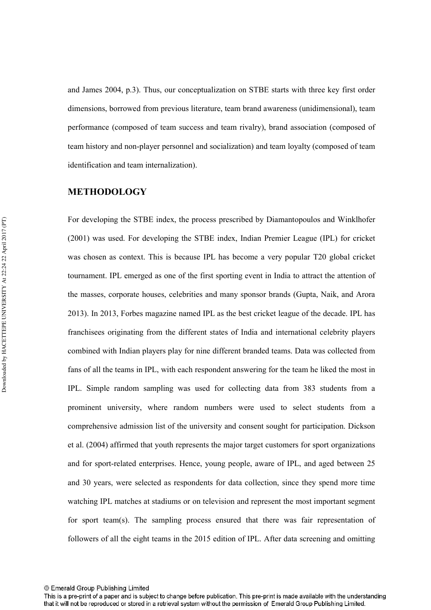and James 2004, p.3). Thus, our conceptualization on STBE starts with three key first order dimensions, borrowed from previous literature, team brand awareness (unidimensional), team performance (composed of team success and team rivalry), brand association (composed of team history and non:player personnel and socialization) and team loyalty (composed of team identification and team internalization).

# $METHODOLOGY$

For developing the STBE index, the process prescribed by Diamantopoulos and Winklhofer (2001) was used. For developing the STBE index, Indian Premier League (IPL) for cricket was chosen as context. This is because IPL has become a very popular T20 global cricket tournament. IPL emerged as one of the first sporting event in India to attract the attention of the masses, corporate houses, celebrities and many sponsor brands (Gupta, Naik, and Arora 2013). In 2013, Forbes magazine named IPL as the best cricket league of the decade. IPL has franchisees originating from the different states of India and international celebrity players combined with Indian players play for nine different branded teams. Data was collected from fans of all the teams in IPL, with each respondent answering for the team he liked the most in IPL. Simple random sampling was used for collecting data from 383 students from a prominent university, where random numbers were used to select students from a comprehensive admission list of the university and consent sought for participation. Dickson et al. (2004) affirmed that youth represents the major target customers for sport organizations and for sport:related enterprises. Hence, young people, aware of IPL, and aged between 25 and 30 years, were selected as respondents for data collection, since they spend more time watching IPL matches at stadiums or on television and represent the most important segment for sport team(s). The sampling process ensured that there was fair representation of followers of all the eight teams in the 2015 edition of IPL. After data screening and omitting

This is a pre-print of a paper and is subject to change before publication. This pre-print is made available with the understanding that it will not be reproduced or stored in a retrieval system without the permission of Emerald Group Publishing Limited.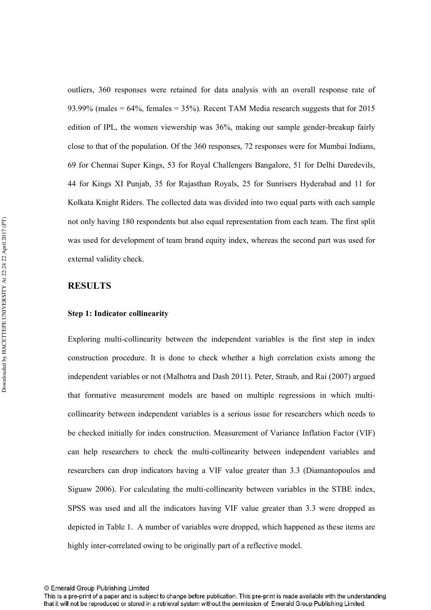outliers, 360 responses were retained for data analysis with an overall response rate of 93.99% (males  $= 64\%$ , females  $= 35\%$ ). Recent TAM Media research suggests that for 2015 edition of IPL, the women viewership was 36%, making our sample gender-breakup fairly close to that of the population. Of the 360 responses, 72 responses were for Mumbai Indians, 69 for Chennai Super Kings, 53 for Royal Challengers Bangalore, 51 for Delhi Daredevils, 44 for Kings XI Punjab, 35 for Rajasthan Royals, 25 for Sunrisers Hyderabad and 11 for Kolkata Knight Riders. The collected data was divided into two equal parts with each sample not only having 180 respondents but also equal representation from each team. The first split was used for development of team brand equity index, whereas the second part was used for external validity check.

# **RESULTS**

#### **Step 1: Indicator collinearity**

Exploring multi-collinearity between the independent variables is the first step in index construction procedure. It is done to check whether a high correlation exists among the independent variables or not (Malhotra and Dash 2011). Peter, Straub, and Rai (2007) argued that formative measurement models are based on multiple regressions in which multi: collinearity between independent variables is a serious issue for researchers which needs to be checked initially for index construction. Measurement of Variance Inflation Factor (VIF) can help researchers to check the multi:collinearity between independent variables and researchers can drop indicators having a VIF value greater than 3.3 (Diamantopoulos and Siguaw 2006). For calculating the multi-collinearity between variables in the STBE index, SPSS was used and all the indicators having VIF value greater than 3.3 were dropped as depicted in Table 1. A number of variables were dropped, which happened as these items are highly inter-correlated owing to be originally part of a reflective model.

<sup>©</sup> Emerald Group Publishing Limited

This is a pre-print of a paper and is subject to change before publication. This pre-print is made available with the understanding that it will not be reproduced or stored in a retrieval system without the permission of Emerald Group Publishing Limited.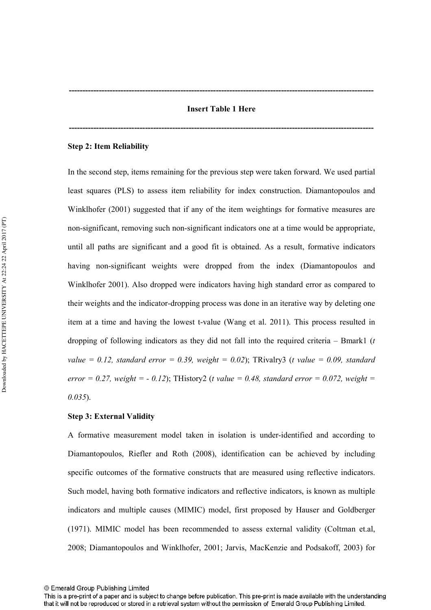#### **Step 2: Item Reliability**

In the second step, items remaining for the previous step were taken forward. We used partial least squares (PLS) to assess item reliability for index construction. Diamantopoulos and Winklhofer (2001) suggested that if any of the item weightings for formative measures are non-significant, removing such non-significant indicators one at a time would be appropriate, until all paths are significant and a good fit is obtained. As a result, formative indicators having non-significant weights were dropped from the index (Diamantopoulos and Winklhofer 2001). Also dropped were indicators having high standard error as compared to their weights and the indicator:dropping process was done in an iterative way by deleting one item at a time and having the lowest t-value (Wang et al. 2011). This process resulted in dropping of following indicators as they did not fall into the required criteria – Bmark1 (  $value = 0.12$ , standard error = 0.39, weight = 0.02); TRivalry3 (*t value = 0.09, standard*  $error = 0.27$ ,  $weight = -0.12$ ); THistory2 (*t value = 0.48*, *standard error = 0.072*, *weight =*  $(0.035)$ .

#### **Step 3: External Validity**

A formative measurement model taken in isolation is under:identified and according to Diamantopoulos, Riefler and Roth (2008), identification can be achieved by including specific outcomes of the formative constructs that are measured using reflective indicators. Such model, having both formative indicators and reflective indicators, is known as multiple indicators and multiple causes (MIMIC) model, first proposed by Hauser and Goldberger (1971). MIMIC model has been recommended to assess external validity (Coltman et.al, 2008; Diamantopoulos and Winklhofer, 2001; Jarvis, MacKenzie and Podsakoff, 2003) for

<sup>©</sup> Emerald Group Publishing Limited

This is a pre-print of a paper and is subject to change before publication. This pre-print is made available with the understanding that it will not be reproduced or stored in a retrieval system without the permission of Emerald Group Publishing Limited.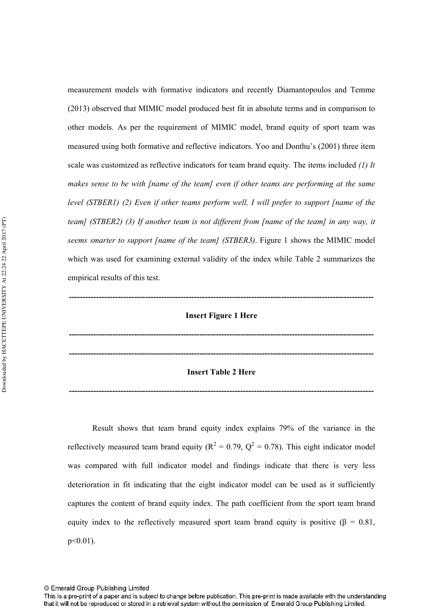measurement models with formative indicators and recently Diamantopoulos and Temme (2013) observed that MIMIC model produced best fit in absolute terms and in comparison to other models. As per the requirement of MIMIC model, brand equity of sport team was measured using both formative and reflective indicators. Yoo and Donthu's (2001) three item scale was customized as reflective indicators for team brand equity. The items included *'* makes sense to be with [name of the team] even if other teams are performing at the same *level (STBER1) (2) Even if other teams perform well, I will prefer to support [name of the team]* (STBER2) (3) If another team is not different from [name of the team] in any way, it seems smarter to support [name of the team] (STBER3). Figure 1 shows the MIMIC model which was used for examining external validity of the index while Table 2 summarizes the empirical results of this test.

## **Insert Figure 1 Here**

 **Insert Table 2 Here** 

Result shows that team brand equity index explains 79% of the variance in the reflectively measured team brand equity ( $R^2 = 0.79$ ,  $Q^2 = 0.78$ ). This eight indicator model was compared with full indicator model and findings indicate that there is very less deterioration in fit indicating that the eight indicator model can be used as it sufficiently captures the content of brand equity index. The path coefficient from the sport team brand equity index to the reflectively measured sport team brand equity is positive ( $\beta = 0.81$ , p<0.01).

This is a pre-print of a paper and is subject to change before publication. This pre-print is made available with the understanding that it will not be reproduced or stored in a retrieval system without the permission of Emerald Group Publishing Limited.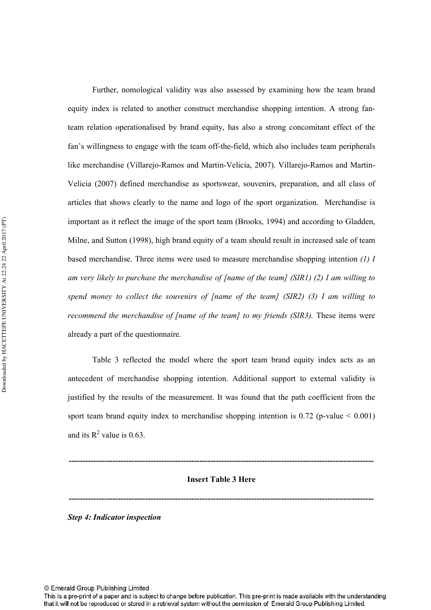Further, nomological validity was also assessed by examining how the team brand equity index is related to another construct merchandise shopping intention. A strong fan: team relation operationalised by brand equity, has also a strong concomitant effect of the fan's willingness to engage with the team off-the-field, which also includes team peripherals like merchandise (Villarejo-Ramos and Martin-Velicia, 2007). Villarejo-Ramos and Martin-Velicia (2007) defined merchandise as sportswear, souvenirs, preparation, and all class of articles that shows clearly to the name and logo of the sport organization. Merchandise is important as it reflect the image of the sport team (Brooks, 1994) and according to Gladden, Milne, and Sutton (1998), high brand equity of a team should result in increased sale of team based merchandise. Three items were used to measure merchandise shopping intention *' am very likely to purchase the merchandise of [name of the team] (SIR1) (2) I am willing to* spend money to collect the souvenirs of [name of the team] (SIR2) (3) I am willing to recommend the merchandise of [name of the team] to my friends (SIR3). These items were already a part of the questionnaire.

Table 3 reflected the model where the sport team brand equity index acts as an antecedent of merchandise shopping intention. Additional support to external validity is justified by the results of the measurement. It was found that the path coefficient from the sport team brand equity index to merchandise shopping intention is  $0.72$  (p-value  $\leq 0.001$ ) and its  $R^2$  value is 0.63.

#### **Insert Table 3 Here**

**Step 4: Indicator inspection** 

This is a pre-print of a paper and is subject to change before publication. This pre-print is made available with the understanding that it will not be reproduced or stored in a retrieval system without the permission of Emerald Group Publishing Limited.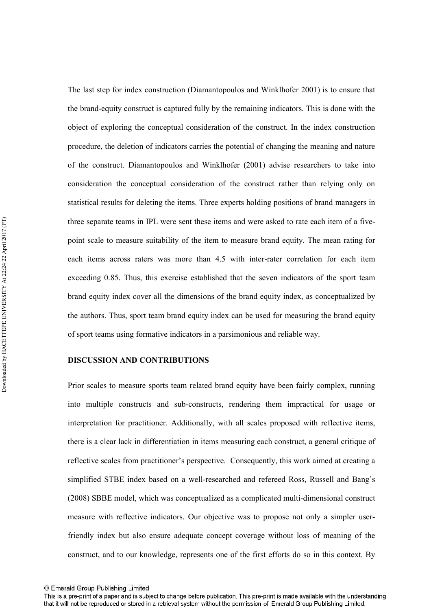The last step for index construction (Diamantopoulos and Winklhofer 2001) is to ensure that the brand:equity construct is captured fully by the remaining indicators. This is done with the object of exploring the conceptual consideration of the construct. In the index construction procedure, the deletion of indicators carries the potential of changing the meaning and nature of the construct. Diamantopoulos and Winklhofer (2001) advise researchers to take into consideration the conceptual consideration of the construct rather than relying only on statistical results for deleting the items. Three experts holding positions of brand managers in three separate teams in IPL were sent these items and were asked to rate each item of a five: point scale to measure suitability of the item to measure brand equity. The mean rating for each items across raters was more than 4.5 with inter-rater correlation for each item exceeding 0.85. Thus, this exercise established that the seven indicators of the sport team brand equity index cover all the dimensions of the brand equity index, as conceptualized by the authors. Thus, sport team brand equity index can be used for measuring the brand equity of sport teams using formative indicators in a parsimonious and reliable way.

### **DISCUSSION AND CONTRIBUTIONS**

Prior scales to measure sports team related brand equity have been fairly complex, running into multiple constructs and sub-constructs, rendering them impractical for usage or interpretation for practitioner. Additionally, with all scales proposed with reflective items, there is a clear lack in differentiation in items measuring each construct, a general critique of reflective scales from practitioner's perspective. Consequently, this work aimed at creating a simplified STBE index based on a well-researched and refereed Ross, Russell and Bang's (2008) SBBE model, which was conceptualized as a complicated multi:dimensional construct measure with reflective indicators. Our objective was to propose not only a simpler userfriendly index but also ensure adequate concept coverage without loss of meaning of the construct, and to our knowledge, represents one of the first efforts do so in this context. By

<sup>©</sup> Emerald Group Publishing Limited

This is a pre-print of a paper and is subject to change before publication. This pre-print is made available with the understanding that it will not be reproduced or stored in a retrieval system without the permission of Emerald Group Publishing Limited.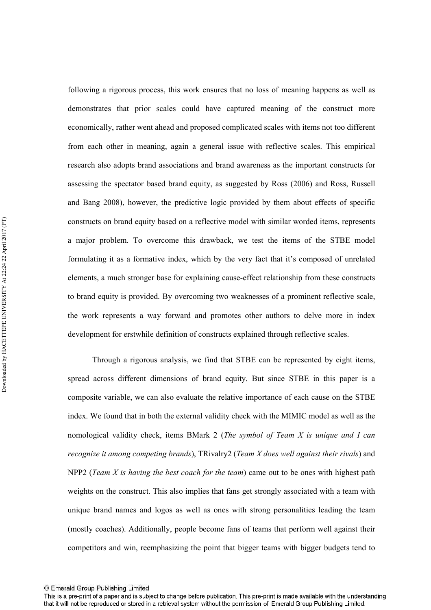following a rigorous process, this work ensures that no loss of meaning happens as well as demonstrates that prior scales could have captured meaning of the construct more economically, rather went ahead and proposed complicated scales with items not too different from each other in meaning, again a general issue with reflective scales. This empirical research also adopts brand associations and brand awareness as the important constructs for assessing the spectator based brand equity, as suggested by Ross (2006) and Ross, Russell and Bang 2008), however, the predictive logic provided by them about effects of specific constructs on brand equity based on a reflective model with similar worded items, represents a major problem. To overcome this drawback, we test the items of the STBE model formulating it as a formative index, which by the very fact that it's composed of unrelated elements, a much stronger base for explaining cause-effect relationship from these constructs to brand equity is provided. By overcoming two weaknesses of a prominent reflective scale, the work represents a way forward and promotes other authors to delve more in index development for erstwhile definition of constructs explained through reflective scales.

 Through a rigorous analysis, we find that STBE can be represented by eight items, spread across different dimensions of brand equity. But since STBE in this paper is a composite variable, we can also evaluate the relative importance of each cause on the STBE index. We found that in both the external validity check with the MIMIC model as well as the nomological validity check, items BMark 2 (*The symbol of Team X is unique and I can* recognize it among competing brands), TRivalry2 (*Team X does well against their rivals*) and NPP2 (*Team X is having the best coach for the team*) came out to be ones with highest path weights on the construct. This also implies that fans get strongly associated with a team with unique brand names and logos as well as ones with strong personalities leading the team (mostly coaches). Additionally, people become fans of teams that perform well against their competitors and win, reemphasizing the point that bigger teams with bigger budgets tend to

<sup>©</sup> Emerald Group Publishing Limited

This is a pre-print of a paper and is subject to change before publication. This pre-print is made available with the understanding that it will not be reproduced or stored in a retrieval system without the permission of Emerald Group Publishing Limited.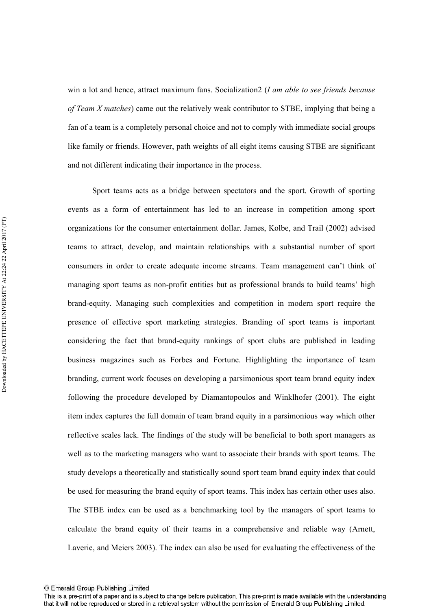win a lot and hence, attract maximum fans. Socialization2 (*I am able to see friends because* of Team X matches) came out the relatively weak contributor to STBE, implying that being a fan of a team is a completely personal choice and not to comply with immediate social groups like family or friends. However, path weights of all eight items causing STBE are significant and not different indicating their importance in the process.

Sport teams acts as a bridge between spectators and the sport. Growth of sporting events as a form of entertainment has led to an increase in competition among sport organizations for the consumer entertainment dollar. James, Kolbe, and Trail (2002) advised teams to attract, develop, and maintain relationships with a substantial number of sport consumers in order to create adequate income streams. Team management can't think of managing sport teams as non-profit entities but as professional brands to build teams' high brand:equity. Managing such complexities and competition in modern sport require the presence of effective sport marketing strategies. Branding of sport teams is important considering the fact that brand:equity rankings of sport clubs are published in leading business magazines such as Forbes and Fortune. Highlighting the importance of team branding, current work focuses on developing a parsimonious sport team brand equity index following the procedure developed by Diamantopoulos and Winklhofer (2001). The eight item index captures the full domain of team brand equity in a parsimonious way which other reflective scales lack. The findings of the study will be beneficial to both sport managers as well as to the marketing managers who want to associate their brands with sport teams. The study develops a theoretically and statistically sound sport team brand equity index that could be used for measuring the brand equity of sport teams. This index has certain other uses also. The STBE index can be used as a benchmarking tool by the managers of sport teams to calculate the brand equity of their teams in a comprehensive and reliable way (Arnett, Laverie, and Meiers 2003). The index can also be used for evaluating the effectiveness of the

<sup>©</sup> Emerald Group Publishing Limited

This is a pre-print of a paper and is subject to change before publication. This pre-print is made available with the understanding that it will not be reproduced or stored in a retrieval system without the permission of Emerald Group Publishing Limited.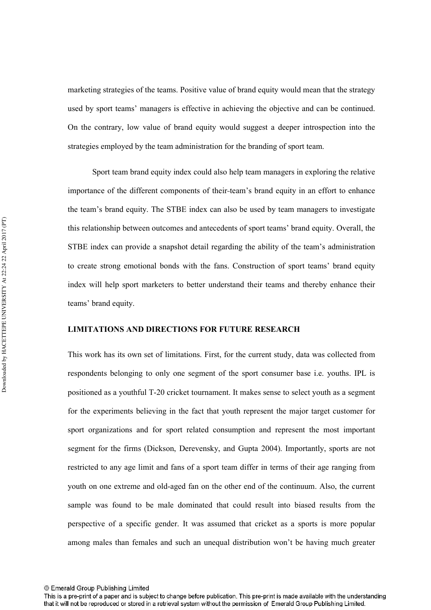marketing strategies of the teams. Positive value of brand equity would mean that the strategy used by sport teams' managers is effective in achieving the objective and can be continued. On the contrary, low value of brand equity would suggest a deeper introspection into the strategies employed by the team administration for the branding of sport team.

Sport team brand equity index could also help team managers in exploring the relative importance of the different components of their-team's brand equity in an effort to enhance the team's brand equity. The STBE index can also be used by team managers to investigate this relationship between outcomes and antecedents of sport teams' brand equity. Overall, the STBE index can provide a snapshot detail regarding the ability of the team's administration to create strong emotional bonds with the fans. Construction of sport teams' brand equity index will help sport marketers to better understand their teams and thereby enhance their teams' brand equity.

## **LIMITATIONS AND DIRECTIONS FOR FUTURE RESEARCH**

This work has its own set of limitations. First, for the current study, data was collected from respondents belonging to only one segment of the sport consumer base i.e. youths. IPL is positioned as a youthful T:20 cricket tournament. It makes sense to select youth as a segment for the experiments believing in the fact that youth represent the major target customer for sport organizations and for sport related consumption and represent the most important segment for the firms (Dickson, Derevensky, and Gupta 2004). Importantly, sports are not restricted to any age limit and fans of a sport team differ in terms of their age ranging from youth on one extreme and old:aged fan on the other end of the continuum. Also, the current sample was found to be male dominated that could result into biased results from the perspective of a specific gender. It was assumed that cricket as a sports is more popular among males than females and such an unequal distribution won't be having much greater

This is a pre-print of a paper and is subject to change before publication. This pre-print is made available with the understanding that it will not be reproduced or stored in a retrieval system without the permission of Emerald Group Publishing Limited.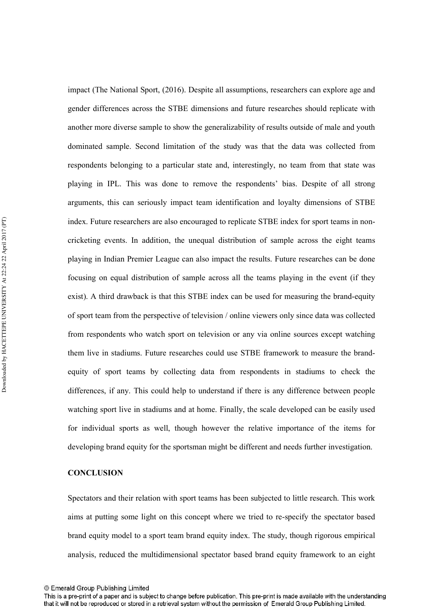impact (The National Sport, (2016). Despite all assumptions, researchers can explore age and gender differences across the STBE dimensions and future researches should replicate with another more diverse sample to show the generalizability of results outside of male and youth dominated sample. Second limitation of the study was that the data was collected from respondents belonging to a particular state and, interestingly, no team from that state was playing in IPL. This was done to remove the respondents' bias. Despite of all strong arguments, this can seriously impact team identification and loyalty dimensions of STBE index. Future researchers are also encouraged to replicate STBE index for sport teams in noncricketing events. In addition, the unequal distribution of sample across the eight teams playing in Indian Premier League can also impact the results. Future researches can be done focusing on equal distribution of sample across all the teams playing in the event (if they exist). A third drawback is that this STBE index can be used for measuring the brand-equity of sport team from the perspective of television / online viewers only since data was collected from respondents who watch sport on television or any via online sources except watching them live in stadiums. Future researches could use STBE framework to measure the brand: equity of sport teams by collecting data from respondents in stadiums to check the differences, if any. This could help to understand if there is any difference between people watching sport live in stadiums and at home. Finally, the scale developed can be easily used for individual sports as well, though however the relative importance of the items for developing brand equity for the sportsman might be different and needs further investigation.

#### **CONCLUSION**

Spectators and their relation with sport teams has been subjected to little research. This work aims at putting some light on this concept where we tried to re:specify the spectator based brand equity model to a sport team brand equity index. The study, though rigorous empirical analysis, reduced the multidimensional spectator based brand equity framework to an eight

<sup>©</sup> Emerald Group Publishing Limited

This is a pre-print of a paper and is subject to change before publication. This pre-print is made available with the understanding that it will not be reproduced or stored in a retrieval system without the permission of Emerald Group Publishing Limited.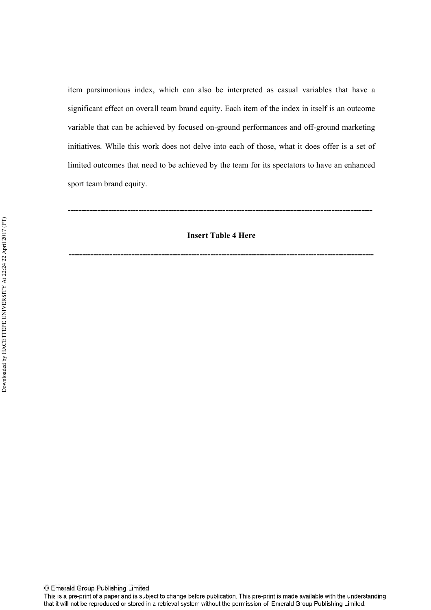item parsimonious index, which can also be interpreted as casual variables that have a significant effect on overall team brand equity. Each item of the index in itself is an outcome variable that can be achieved by focused on-ground performances and off-ground marketing initiatives. While this work does not delve into each of those, what it does offer is a set of limited outcomes that need to be achieved by the team for its spectators to have an enhanced sport team brand equity.

**Insert Table 4 Here** 

Downloaded by HACETTEPE UNIVERSITY At 22:24 22 April 2017 (PT) Downloaded by HACETTEPE UNIVERSITY At 22:24 22 April 2017 (PT)

© Emerald Group Publishing Limited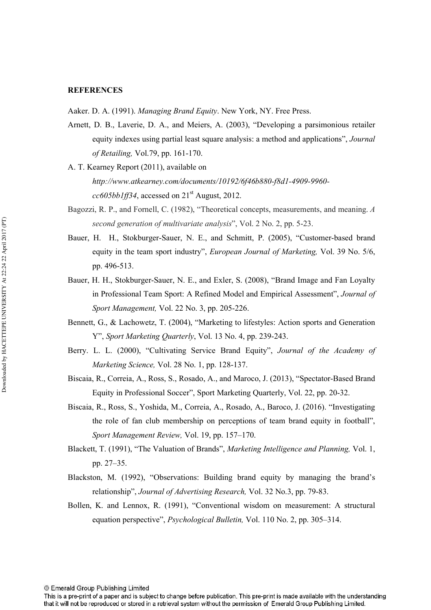#### **'**

Aaker. D. A. (1991). *Managing Brand Equity*. New York, NY. Free Press.

Arnett, D. B., Laverie, D. A., and Meiers, A. (2003), "Developing a parsimonious retailer equity indexes using partial least square analysis: a method and applications", *Journal of Retailing, Vol.79, pp. 161-170.* 

- A. T. Kearney Report (2011), available on http://www.atkearney.com/documents/10192/6f46b880-f8d1-4909-9960 $cc605bb1$  ff 34, accessed on  $21<sup>st</sup>$  August, 2012.
- Bagozzi, R. P., and Fornell, C. (1982), "Theoretical concepts, measurements, and meaning. *A* second generation of multivariate analysis", Vol. 2 No. 2, pp. 5-23.
- Bauer, H. H., Stokburger-Sauer, N. E., and Schmitt, P. (2005), "Customer-based brand equity in the team sport industry", *European Journal of Marketing*, Vol. 39 No. 5/6, pp. 496-513.
- Bauer, H. H., Stokburger-Sauer, N. E., and Exler, S. (2008), "Brand Image and Fan Loyalty in Professional Team Sport: A Refined Model and Empirical Assessment", *Journal of Sport Management, Vol. 22 No. 3, pp. 205-226.*
- Bennett, G., & Lachowetz, T. (2004), "Marketing to lifestyles: Action sports and Generation Y", Sport Marketing Quarterly, Vol. 13 No. 4, pp. 239-243.
- Berry. L. L. (2000), "Cultivating Service Brand Equity", *Journal of the Academy of Marketing Science, Vol. 28 No. 1, pp. 128-137.*
- Biscaia, R., Correia, A., Ross, S., Rosado, A., and Maroco, J. (2013), "Spectator:Based Brand Equity in Professional Soccer", Sport Marketing Quarterly, Vol. 22, pp. 20:32.
- Biscaia, R., Ross, S., Yoshida, M., Correia, A., Rosado, A., Baroco, J. (2016). "Investigating the role of fan club membership on perceptions of team brand equity in football", *Sport Management Review, Vol. 19, pp. 157–170.*
- Blackett, T. (1991), "The Valuation of Brands", *Marketing Intelligence and Planning*, Vol. 1, pp. 27–35.
- Blackston, M. (1992), "Observations: Building brand equity by managing the brand's relationship", *Journal of Advertising Research*, Vol. 32 No.3, pp. 79-83.
- Bollen, K. and Lennox, R. (1991), "Conventional wisdom on measurement: A structural equation perspective", *Psychological Bulletin*, Vol. 110 No. 2, pp. 305–314.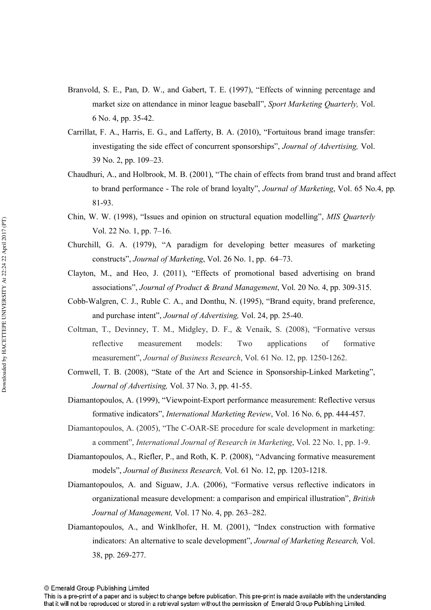- Branvold, S. E., Pan, D. W., and Gabert, T. E. (1997), "Effects of winning percentage and market size on attendance in minor league baseball", Sport Marketing Quarterly, Vol. 6 No. 4, pp. 35:42.
- Carrillat, F. A., Harris, E. G., and Lafferty, B. A. (2010), "Fortuitous brand image transfer: investigating the side effect of concurrent sponsorships", *Journal of Advertising*, Vol. 39 No. 2, pp. 109–23.
- Chaudhuri, A., and Holbrook, M. B. (2001), "The chain of effects from brand trust and brand affect to brand performance - The role of brand loyalty", *Journal of Marketing*, Vol. 65 No.4, pp. 81:93.
- Chin, W. W. (1998), "Issues and opinion on structural equation modelling", *MIS Quarterly* Vol. 22 No. 1, pp. 7–16.
- Churchill, G. A. (1979), "A paradigm for developing better measures of marketing constructs", *Journal of Marketing*, Vol. 26 No. 1, pp. 64–73.
- Clayton, M., and Heo, J. (2011), "Effects of promotional based advertising on brand associations", Journal of Product & Brand Management, Vol. 20 No. 4, pp. 309-315.
- Cobb:Walgren, C. J., Ruble C. A., and Donthu, N. (1995), "Brand equity, brand preference, and purchase intent", *Journal of Advertising*, Vol. 24, pp. 25-40.
- Coltman, T., Devinney, T. M., Midgley, D. F., & Venaik, S. (2008), "Formative versus reflective measurement models: Two applications of formative measurement", Journal of Business Research, Vol. 61 No. 12, pp. 1250-1262.
- Cornwell, T. B. (2008), "State of the Art and Science in Sponsorship:Linked Marketing", *Journal of Advertising, Vol. 37 No. 3, pp. 41-55.*
- Diamantopoulos, A. (1999), "Viewpoint:Export performance measurement: Reflective versus formative indicators", *International Marketing Review*, Vol. 16 No. 6, pp. 444-457.
- Diamantopoulos, A. (2005), "The C-OAR-SE procedure for scale development in marketing: a comment", International Journal of Research in Marketing, Vol. 22 No. 1, pp. 1-9.
- Diamantopoulos, A., Riefler, P., and Roth, K. P. (2008), "Advancing formative measurement models", *Journal of Business Research*, Vol. 61 No. 12, pp. 1203-1218.
- Diamantopoulos, A. and Siguaw, J.A. (2006), "Formative versus reflective indicators in organizational measure development: a comparison and empirical illustration", *British Journal of Management, Vol. 17 No. 4, pp. 263–282.*
- Diamantopoulos, A., and Winklhofer, H. M. (2001), "Index construction with formative indicators: An alternative to scale development", Journal of Marketing Research, Vol. 38, pp. 269-277.

This is a pre-print of a paper and is subject to change before publication. This pre-print is made available with the understanding that it will not be reproduced or stored in a retrieval system without the permission of Emerald Group Publishing Limited.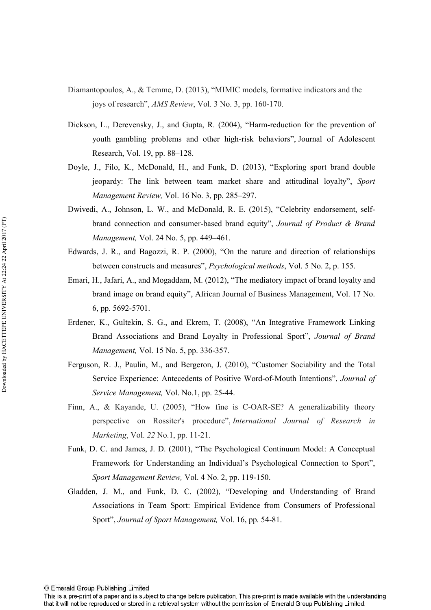- Diamantopoulos, A., & Temme, D. (2013), "MIMIC models, formative indicators and the joys of research", *AMS Review*, Vol. 3 No. 3, pp. 160-170.
- Dickson, L., Derevensky, J., and Gupta, R. (2004), "Harm-reduction for the prevention of youth gambling problems and other high-risk behaviors", Journal of Adolescent Research, Vol. 19, pp. 88–128.
- Doyle, J., Filo, K., McDonald, H., and Funk, D. (2013), "Exploring sport brand double jeopardy: The link between team market share and attitudinal loyalty",  *Management Review, Vol. 16 No. 3, pp. 285–297.*
- Dwivedi, A., Johnson, L. W., and McDonald, R. E. (2015), "Celebrity endorsement, selfbrand connection and consumer-based brand equity", *Journal of Product & Brand Management, Vol. 24 No. 5, pp. 449–461.*
- Edwards, J. R., and Bagozzi, R. P. (2000), "On the nature and direction of relationships between constructs and measures", *Psychological methods*, Vol. 5 No. 2, p. 155.
- Emari, H., Jafari, A., and Mogaddam, M. (2012), "The mediatory impact of brand loyalty and brand image on brand equity", African Journal of Business Management, Vol. 17 No. 6, pp. 5692:5701.
- Erdener, K., Gultekin, S. G., and Ekrem, T. (2008), "An Integrative Framework Linking Brand Associations and Brand Loyalty in Professional Sport", *Journal of Brand Management, Vol. 15 No. 5, pp. 336-357.*
- Ferguson, R. J., Paulin, M., and Bergeron, J. (2010), "Customer Sociability and the Total Service Experience: Antecedents of Positive Word-of-Mouth Intentions", *Journal of Service Management, Vol. No.1, pp. 25-44.*
- Finn, A., & Kayande, U. (2005), "How fine is C-OAR-SE? A generalizability theory perspective on Rossiter's procedure", *International Journal of Research in Marketing*, Vol. 22 No.1, pp. 11-21.
- Funk, D. C. and James, J. D. (2001), "The Psychological Continuum Model: A Conceptual Framework for Understanding an Individual's Psychological Connection to Sport", *Sport Management Review, Vol. 4 No. 2, pp. 119-150.*
- Gladden, J. M., and Funk, D. C. (2002), "Developing and Understanding of Brand Associations in Team Sport: Empirical Evidence from Consumers of Professional Sport", Journal of Sport Management, Vol. 16, pp. 54-81.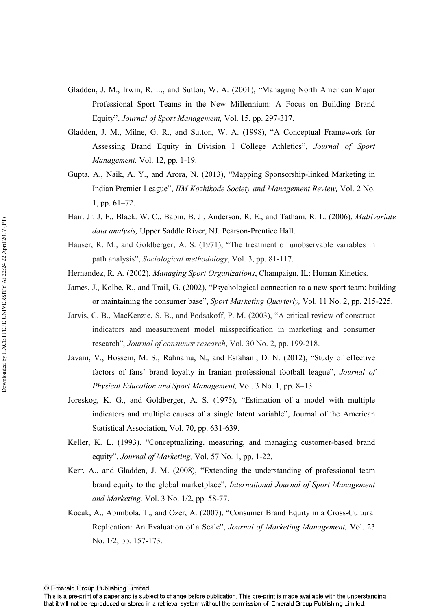- Gladden, J. M., Irwin, R. L., and Sutton, W. A. (2001), "Managing North American Major Professional Sport Teams in the New Millennium: A Focus on Building Brand Equity", Journal of Sport Management, Vol. 15, pp. 297-317.
- Gladden, J. M., Milne, G. R., and Sutton, W. A. (1998), "A Conceptual Framework for Assessing Brand Equity in Division I College Athletics", *Journal of Sport Management, Vol. 12, pp. 1-19.*
- Gupta, A., Naik, A. Y., and Arora, N. (2013), "Mapping Sponsorship-linked Marketing in Indian Premier League", IIM Kozhikode Society and Management Review, Vol. 2 No. 1, pp. 61–72.
- Hair. Jr. J. F., Black. W. C., Babin. B. J., Anderson. R. E., and Tatham. R. L. (2006), *Multivariate data analysis*, Upper Saddle River, NJ. Pearson-Prentice Hall.
- Hauser, R. M., and Goldberger, A. S. (1971), "The treatment of unobservable variables in path analysis", *Sociological methodology*, Vol. 3, pp. 81-117.
- Hernandez, R. A. (2002), *Managing Sport Organizations*, Champaign, IL: Human Kinetics.
- James, J., Kolbe, R., and Trail, G. (2002), "Psychological connection to a new sport team: building or maintaining the consumer base", *Sport Marketing Quarterly*, Vol. 11 No. 2, pp. 215-225.
- Jarvis, C. B., MacKenzie, S. B., and Podsakoff, P. M. (2003), "A critical review of construct indicators and measurement model misspecification in marketing and consumer research", Journal of consumer research, Vol. 30 No. 2, pp. 199-218.
- Javani, V., Hossein, M. S., Rahnama, N., and Esfahani, D. N. (2012), "Study of effective factors of fans' brand loyalty in Iranian professional football league", *Journal of Physical Education and Sport Management, Vol. 3 No. 1, pp. 8–13.*
- Joreskog, K. G., and Goldberger, A. S. (1975), "Estimation of a model with multiple indicators and multiple causes of a single latent variable", Journal of the American Statistical Association, Vol. 70, pp. 631-639.
- Keller, K. L. (1993). "Conceptualizing, measuring, and managing customer-based brand equity", *Journal of Marketing*, Vol. 57 No. 1, pp. 1-22.
- Kerr, A., and Gladden, J. M. (2008), "Extending the understanding of professional team brand equity to the global marketplace", *International Journal of Sport Management* and Marketing, Vol. 3 No. 1/2, pp. 58-77.
- Kocak, A., Abimbola, T., and Ozer, A. (2007), "Consumer Brand Equity in a Cross:Cultural Replication: An Evaluation of a Scale", *Journal of Marketing Management*, Vol. 23 No. 1/2, pp. 157-173.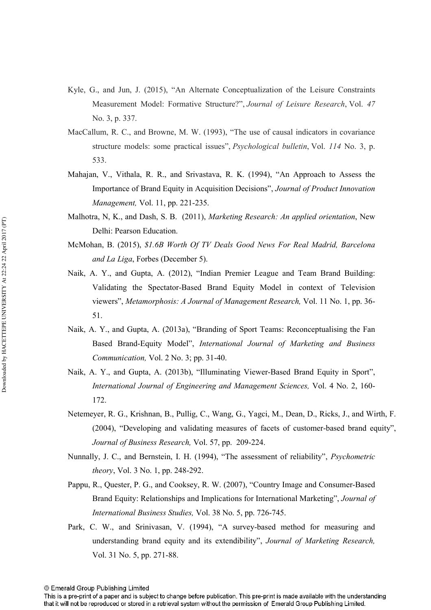- Kyle, G., and Jun, J. (2015), "An Alternate Conceptualization of the Leisure Constraints Measurement Model: Formative Structure?", Journal of Leisure Research, Vol. 47 No. 3, p. 337.
- MacCallum, R. C., and Browne, M. W. (1993), "The use of causal indicators in covariance structure models: some practical issues", *Psychological bulletin*, Vol. 114 No. 3, p. 533.
- Mahajan, V., Vithala, R. R., and Srivastava, R. K. (1994), "An Approach to Assess the Importance of Brand Equity in Acquisition Decisions", Journal of Product Innovation *Management, Vol. 11, pp. 221-235.*
- Malhotra, N, K., and Dash, S. B. (2011), *Marketing Research: An applied orientation*, New Delhi: Pearson Education.
- McMohan, B. (2015), \$1.6B Worth Of TV Deals Good News For Real Madrid, Barcelona *and La Liga*, Forbes (December 5).
- Naik, A. Y., and Gupta, A. (2012), "Indian Premier League and Team Brand Building: Validating the Spectator:Based Brand Equity Model in context of Television viewers", Metamorphosis: A Journal of Management Research, Vol. 11 No. 1, pp. 36-51.
- Naik, A. Y., and Gupta, A. (2013a), "Branding of Sport Teams: Reconceptualising the Fan Based Brand-Equity Model", *International Journal of Marketing and Business Communication, Vol. 2 No. 3; pp. 31-40.*
- Naik, A. Y., and Gupta, A. (2013b), "Illuminating Viewer:Based Brand Equity in Sport", International Journal of Engineering and Management Sciences, Vol. 4 No. 2, 160-172.
- Netemeyer, R. G., Krishnan, B., Pullig, C., Wang, G., Yagci, M., Dean, D., Ricks, J., and Wirth, F. (2004), "Developing and validating measures of facets of customer:based brand equity", *Journal of Business Research, Vol. 57, pp. 209-224.*
- Nunnally, J. C., and Bernstein, I. H. (1994), "The assessment of reliability", *Psychometric theory*, Vol. 3 No. 1, pp. 248-292.
- Pappu, R., Quester, P. G., and Cooksey, R. W. (2007), "Country Image and Consumer-Based Brand Equity: Relationships and Implications for International Marketing", *Journal of* International Business Studies, Vol. 38 No. 5, pp. 726-745.
- Park, C. W., and Srinivasan, V. (1994), "A survey-based method for measuring and understanding brand equity and its extendibility", Journal of Marketing Research, Vol. 31 No. 5, pp. 271-88.

This is a pre-print of a paper and is subject to change before publication. This pre-print is made available with the understanding that it will not be reproduced or stored in a retrieval system without the permission of Emerald Group Publishing Limited.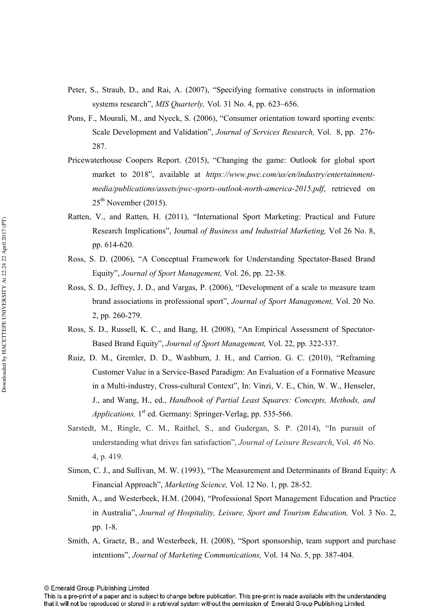- Peter, S., Straub, D., and Rai, A. (2007), "Specifying formative constructs in information systems research", *MIS Quarterly*, Vol. 31 No. 4, pp. 623–656.
- Pons, F., Mourali, M., and Nyeck, S. (2006), "Consumer orientation toward sporting events: Scale Development and Validation", *Journal of Services Research*, Vol. 8, pp. 276-287.
- Pricewaterhouse Coopers Report. (2015), "Changing the game: Outlook for global sport market to 2018", available at *https://www.pwc.com/us/en/industry/entertainment*media/publications/assets/pwc-sports-outlook-north-america-2015.pdf, retrieved on  $25<sup>th</sup>$  November (2015).
- Ratten, V., and Ratten, H. (2011), "International Sport Marketing: Practical and Future Research Implications", Journal of Business and Industrial Marketing, Vol 26 No. 8, pp. 614-620.
- Ross, S. D. (2006), "A Conceptual Framework for Understanding Spectator:Based Brand Equity", Journal of Sport Management, Vol. 26, pp. 22-38.
- Ross, S. D., Jeffrey, J. D., and Vargas, P. (2006), "Development of a scale to measure team brand associations in professional sport", *Journal of Sport Management*, Vol. 20 No. 2, pp. 260:279.
- Ross, S. D., Russell, K. C., and Bang, H. (2008), "An Empirical Assessment of Spectator: Based Brand Equity", Journal of Sport Management, Vol. 22, pp. 322-337.
- Ruiz, D. M., Gremler, D. D., Washburn, J. H., and Carrion. G. C. (2010), "Reframing Customer Value in a Service:Based Paradigm: An Evaluation of a Formative Measure in a Multi-industry, Cross-cultural Context", In: Vinzi, V. E., Chin, W. W., Henseler, J., and Wang, H., ed., *Handbook of Partial Least Squares: Concepts, Methods, and Applications*, 1<sup>st</sup> ed. Germany: Springer-Verlag, pp. 535-566.
- Sarstedt, M., Ringle, C. M., Raithel, S., and Gudergan, S. P. (2014), "In pursuit of understanding what drives fan satisfaction", *Journal of Leisure Research*, Vol. 46 No. 4, p. 419.
- Simon, C. J., and Sullivan, M. W. (1993), "The Measurement and Determinants of Brand Equity: A Financial Approach", *Marketing Science*, Vol. 12 No. 1, pp. 28-52.
- Smith, A., and Westerbeek, H.M. (2004), "Professional Sport Management Education and Practice in Australia", Journal of Hospitality, Leisure, Sport and Tourism Education, Vol. 3 No. 2, pp. 1-8.
- Smith, A, Graetz, B., and Westerbeek, H. (2008), "Sport sponsorship, team support and purchase intentions", Journal of Marketing Communications, Vol. 14 No. 5, pp. 387-404.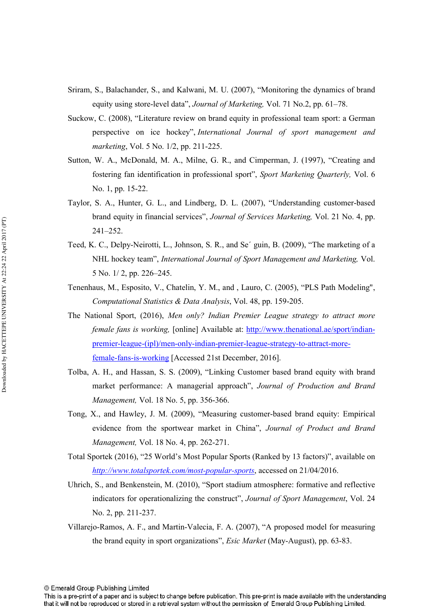- Sriram, S., Balachander, S., and Kalwani, M. U. (2007), "Monitoring the dynamics of brand equity using store-level data", *Journal of Marketing*, Vol. 71 No.2, pp. 61–78.
- Suckow, C. (2008), "Literature review on brand equity in professional team sport: a German perspective on ice hockey", International Journal of sport management and *marketing*, Vol. 5 No. 1/2, pp. 211-225.
- Sutton, W. A., McDonald, M. A., Milne, G. R., and Cimperman, J. (1997), "Creating and fostering fan identification in professional sport", Sport Marketing Quarterly, Vol. 6 No. 1, pp. 15-22.
- Taylor, S. A., Hunter, G. L., and Lindberg, D. L. (2007), "Understanding customer:based brand equity in financial services", *Journal of Services Marketing*, Vol. 21 No. 4, pp. 241–252.
- Teed, K. C., Delpy-Neirotti, L., Johnson, S. R., and Se' guin, B. (2009), "The marketing of a NHL hockey team", *International Journal of Sport Management and Marketing, Vol.* 5 No. 1/ 2, pp. 226–245.
- Tenenhaus, M., Esposito, V., Chatelin, Y. M., and , Lauro, C. (2005), "PLS Path Modeling", *Computational Statistics & Data Analysis, Vol. 48, pp. 159-205.*
- The National Sport, (2016), Men only? Indian Premier League strategy to attract more *female fans is working*, [online] Available at: **http://www.thenational.ae/sport/indian**premier-league-(ipl)/men-only-indian-premier-league-strategy-to-attract-morefemale-fans-is-working [Accessed 21st December, 2016].
- Tolba, A. H., and Hassan, S. S. (2009), "Linking Customer based brand equity with brand market performance: A managerial approach", *Journal of Production and Brand Management, Vol. 18 No. 5, pp. 356-366.*
- Tong, X., and Hawley, J. M. (2009), "Measuring customer:based brand equity: Empirical evidence from the sportwear market in China", *Journal of Product and Brand Management, Vol. 18 No. 4, pp. 262-271.*
- Total Sportek (2016), "25 World's Most Popular Sports (Ranked by 13 factors)", available on http://www.totalsportek.com/most-popular-sports, accessed on 21/04/2016.
- Uhrich, S., and Benkenstein, M. (2010), "Sport stadium atmosphere: formative and reflective indicators for operationalizing the construct", Journal of Sport Management, Vol. 24 No. 2, pp. 211-237.
- Villarejo:Ramos, A. F., and Martin:Valecia, F. A. (2007), "A proposed model for measuring the brand equity in sport organizations", *Esic Market* (May-August), pp. 63-83.

This is a pre-print of a paper and is subject to change before publication. This pre-print is made available with the understanding that it will not be reproduced or stored in a retrieval system without the permission of Emerald Group Publishing Limited.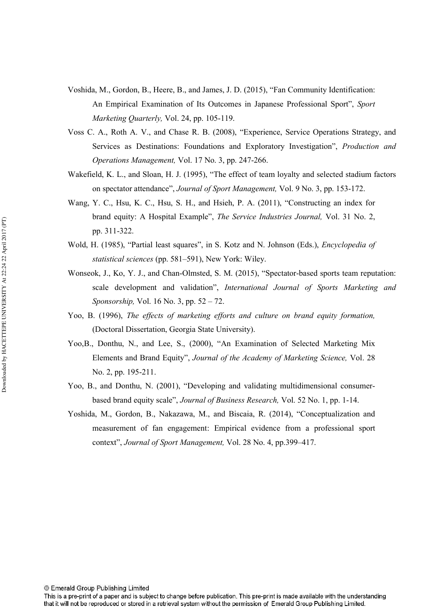- Voshida, M., Gordon, B., Heere, B., and James, J. D. (2015), "Fan Community Identification: An Empirical Examination of Its Outcomes in Japanese Professional Sport",  *Marketing Quarterly, Vol. 24, pp. 105-119.*
- Voss C. A., Roth A. V., and Chase R. B. (2008), "Experience, Service Operations Strategy, and Services as Destinations: Foundations and Exploratory Investigation", *Production and Operations Management, Vol. 17 No. 3, pp. 247-266.*
- Wakefield, K. L., and Sloan, H. J. (1995), "The effect of team loyalty and selected stadium factors on spectator attendance", Journal of Sport Management, Vol. 9 No. 3, pp. 153-172.
- Wang, Y. C., Hsu, K. C., Hsu, S. H., and Hsieh, P. A. (2011), "Constructing an index for brand equity: A Hospital Example", *The Service Industries Journal*, Vol. 31 No. 2, pp. 311:322.
- Wold, H. (1985), "Partial least squares", in S. Kotz and N. Johnson (Eds.), *Encyclopedia of* statistical sciences (pp. 581–591), New York: Wiley.
- Wonseok, J., Ko, Y. J., and Chan-Olmsted, S. M. (2015), "Spectator-based sports team reputation: scale development and validation", International Journal of Sports Marketing and *Sponsorship*, Vol. 16 No. 3, pp. 52 – 72.
- Yoo, B. (1996), The effects of marketing efforts and culture on brand equity formation, (Doctoral Dissertation, Georgia State University).
- Yoo,B., Donthu, N., and Lee, S., (2000), "An Examination of Selected Marketing Mix Elements and Brand Equity", Journal of the Academy of Marketing Science, Vol. 28 No. 2, pp. 195-211.
- Yoo, B., and Donthu, N. (2001), "Developing and validating multidimensional consumer: based brand equity scale", *Journal of Business Research*, Vol. 52 No. 1, pp. 1-14.
- Yoshida, M., Gordon, B., Nakazawa, M., and Biscaia, R. (2014), "Conceptualization and measurement of fan engagement: Empirical evidence from a professional sport context", Journal of Sport Management, Vol. 28 No. 4, pp.399–417.

© Emerald Group Publishing Limited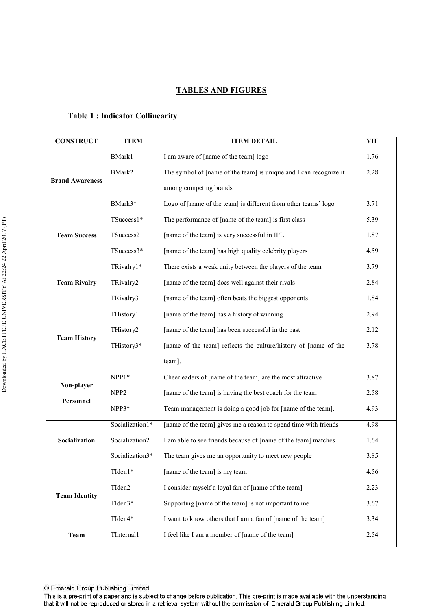## *<u>TABLES AND FIGURES</u>*

#### **Table 1: Indicator Collinearity**

| <b>CONSTRUCT</b>       | <b>ITEM</b>      | <b>ITEM DETAIL</b>                                                | <b>VIF</b> |
|------------------------|------------------|-------------------------------------------------------------------|------------|
|                        | <b>BMark1</b>    | I am aware of [name of the team] logo                             | 1.76       |
| <b>Brand Awareness</b> | BMark2           | The symbol of [name of the team] is unique and I can recognize it | 2.28       |
|                        |                  | among competing brands                                            |            |
|                        | BMark3*          | Logo of [name of the team] is different from other teams' logo    | 3.71       |
|                        | TSuccess1*       | The performance of [name of the team] is first class              | 5.39       |
| <b>Team Success</b>    | TSuccess2        | [name of the team] is very successful in IPL                      | 1.87       |
|                        | TSuccess3*       | [name of the team] has high quality celebrity players             | 4.59       |
|                        | TRivalry1*       | There exists a weak unity between the players of the team         | 3.79       |
| <b>Team Rivalry</b>    | TRivalry2        | [name of the team] does well against their rivals                 | 2.84       |
|                        | TRivalry3        | [name of the team] often beats the biggest opponents              | 1.84       |
|                        | THistory1        | [name of the team] has a history of winning                       | 2.94       |
|                        | THistory2        | [name of the team] has been successful in the past                | 2.12       |
| <b>Team History</b>    | THistory3*       | [name of the team] reflects the culture/history of [name of the   | 3.78       |
|                        |                  | team].                                                            |            |
|                        | $NPP1*$          | Cheerleaders of [name of the team] are the most attractive        | 3.87       |
| Non-player             | NPP <sub>2</sub> | [name of the team] is having the best coach for the team          | 2.58       |
| Personnel<br>NPP3*     |                  | Team management is doing a good job for [name of the team].       | 4.93       |
|                        | Socialization1*  | [name of the team] gives me a reason to spend time with friends   | 4.98       |
| Socialization          | Socialization2   | I am able to see friends because of [name of the team] matches    | 1.64       |
|                        | Socialization3*  | The team gives me an opportunity to meet new people               | 3.85       |
|                        | TIden1*          | [name of the team] is my team                                     | 4.56       |
|                        | TIden2           | I consider myself a loyal fan of [name of the team]               | 2.23       |
| <b>Team Identity</b>   | TIden3*          | Supporting [name of the team] is not important to me              | 3.67       |
|                        | TIden4*          | I want to know others that I am a fan of [name of the team]       | 3.34       |
| Team                   | TInternal1       | I feel like I am a member of [name of the team]                   | 2.54       |

© Emerald Group Publishing Limited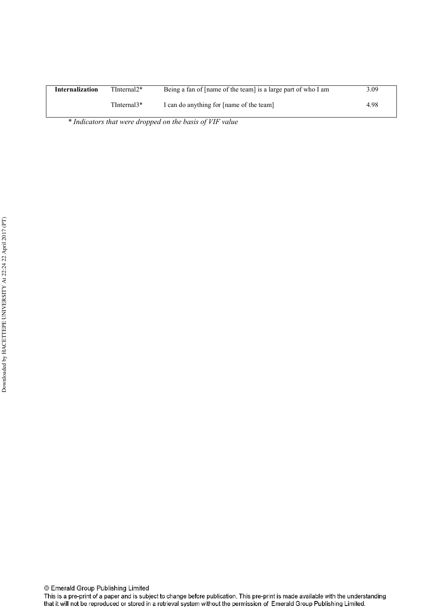| <b>Internalization</b> | $T$ Internal $2^*$ | Being a fan of [name of the team] is a large part of who I am | 3.09 |
|------------------------|--------------------|---------------------------------------------------------------|------|
|                        | TInternal3*        | I can do anything for [name of the team]                      | 4.98 |

\* Indicators that were dropped on the basis of VIF value

This is a pre-print of a paper and is subject to change before publication. This pre-print is made available with the understanding that it will not be reproduced or stored in a retrieval system without the permission of Emerald Group Publishing Limited.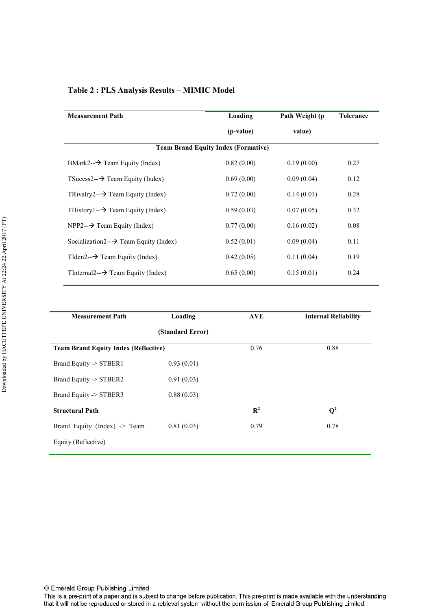| Table 2 : PLS Analysis Results – MIMIC Model |  |  |  |  |  |  |  |  |  |
|----------------------------------------------|--|--|--|--|--|--|--|--|--|
|----------------------------------------------|--|--|--|--|--|--|--|--|--|

| <b>Measurement Path</b>                             | Loading    | Path Weight (p) | <b>Tolerance</b> |
|-----------------------------------------------------|------------|-----------------|------------------|
|                                                     | (p-value)  | value)          |                  |
| <b>Team Brand Equity Index (Formative)</b>          |            |                 |                  |
| BMark2-- $\rightarrow$ Team Equity (Index)          | 0.82(0.00) | 0.19(0.00)      | 0.27             |
| TSucess2- $\rightarrow$ Team Equity (Index)         | 0.69(0.00) | 0.09(0.04)      | 0.12             |
| TRivalry2- $\rightarrow$ Team Equity (Index)        | 0.72(0.00) | 0.14(0.01)      | 0.28             |
| THistory $1 - \rightarrow$ Team Equity (Index)      | 0.59(0.03) | 0.07(0.05)      | 0.32             |
| $NPP2--\rightarrow$ Team Equity (Index)             | 0.77(0.00) | 0.16(0.02)      | 0.08             |
| Socialization 2-- $\rightarrow$ Team Equity (Index) | 0.52(0.01) | 0.09(0.04)      | 0.11             |
| $Tlden2--\rightarrow$ Team Equity (Index)           | 0.42(0.05) | 0.11(0.04)      | 0.19             |
| TInternal2-- $\rightarrow$ Team Equity (Index)      | 0.65(0.00) | 0.15(0.01)      | 0.24             |

| <b>Measurement Path</b>                     | Loading          | <b>AVE</b>     | <b>Internal Reliability</b> |
|---------------------------------------------|------------------|----------------|-----------------------------|
|                                             | (Standard Error) |                |                             |
| <b>Team Brand Equity Index (Reflective)</b> |                  | 0.76           | 0.88                        |
| Brand Equity -> STBER1                      | 0.93(0.01)       |                |                             |
| Brand Equity -> STBER2                      | 0.91(0.03)       |                |                             |
| Brand Equity -> STBER3                      | 0.88(0.03)       |                |                             |
| <b>Structural Path</b>                      |                  | $\mathbb{R}^2$ | $\mathbf{Q}^2$              |
| Brand Equity (Index) -> Team                | 0.81(0.03)       | 0.79           | 0.78                        |
| Equity (Reflective)                         |                  |                |                             |
|                                             |                  |                |                             |

© Emerald Group Publishing Limited

This is a pre-print of a paper and is subject to change before publication. This pre-print is made available with the understanding that it will not be reproduced or stored in a retrieval system without the permission of Emerald Group Publishing Limited.

Î,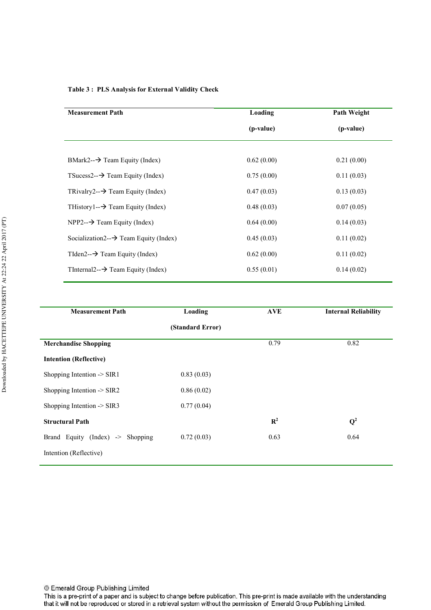**Table 3: PLS Analysis for External Validity Check** 

| <b>Measurement Path</b>                             | Loading    | <b>Path Weight</b> |
|-----------------------------------------------------|------------|--------------------|
|                                                     | (p-value)  | (p-value)          |
|                                                     |            |                    |
| BMark2-- $\rightarrow$ Team Equity (Index)          | 0.62(0.00) | 0.21(0.00)         |
| TSucess2- $\rightarrow$ Team Equity (Index)         | 0.75(0.00) | 0.11(0.03)         |
| TRivalry2- $\rightarrow$ Team Equity (Index)        | 0.47(0.03) | 0.13(0.03)         |
| THistory1- $\rightarrow$ Team Equity (Index)        | 0.48(0.03) | 0.07(0.05)         |
| $NPP2--\rightarrow$ Team Equity (Index)             | 0.64(0.00) | 0.14(0.03)         |
| Socialization 2-- $\rightarrow$ Team Equity (Index) | 0.45(0.03) | 0.11(0.02)         |
| TIden2- $\rightarrow$ Team Equity (Index)           | 0.62(0.00) | 0.11(0.02)         |
| TInternal2- $\rightarrow$ Team Equity (Index)       | 0.55(0.01) | 0.14(0.02)         |
|                                                     |            |                    |

| <b>Measurement Path</b>          | Loading          | <b>AVE</b>     | <b>Internal Reliability</b> |
|----------------------------------|------------------|----------------|-----------------------------|
|                                  | (Standard Error) |                |                             |
| <b>Merchandise Shopping</b>      |                  | 0.79           | 0.82                        |
| <b>Intention (Reflective)</b>    |                  |                |                             |
| Shopping Intention $\sim$ SIR1   | 0.83(0.03)       |                |                             |
| Shopping Intention -> SIR2       | 0.86(0.02)       |                |                             |
| Shopping Intention -> SIR3       | 0.77(0.04)       |                |                             |
| <b>Structural Path</b>           |                  | $\mathbb{R}^2$ | $\mathbf{Q}^2$              |
| Brand Equity (Index) -> Shopping | 0.72(0.03)       | 0.63           | 0.64                        |
| Intention (Reflective)           |                  |                |                             |
|                                  |                  |                |                             |

© Emerald Group Publishing Limited

This is a pre-print of a paper and is subject to change before publication. This pre-print is made available with the understanding that it will not be reproduced or stored in a retrieval system without the permission of Emerald Group Publishing Limited.

j.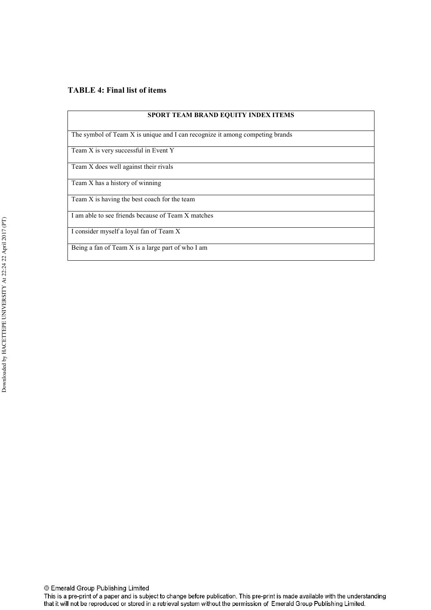# **TABLE 4: Final list of items**

| <b>SPORT TEAM BRAND EQUITY INDEX ITEMS</b>                                   |  |  |
|------------------------------------------------------------------------------|--|--|
|                                                                              |  |  |
| The symbol of Team X is unique and I can recognize it among competing brands |  |  |
| Team X is very successful in Event Y                                         |  |  |
| Team X does well against their rivals                                        |  |  |
| Team X has a history of winning                                              |  |  |
| Team X is having the best coach for the team                                 |  |  |
| I am able to see friends because of Team X matches                           |  |  |
| I consider myself a loyal fan of Team X                                      |  |  |
| Being a fan of Team X is a large part of who I am                            |  |  |

This is a pre-print of a paper and is subject to change before publication. This pre-print is made available with the understanding that it will not be reproduced or stored in a retrieval system without the permission of Emerald Group Publishing Limited.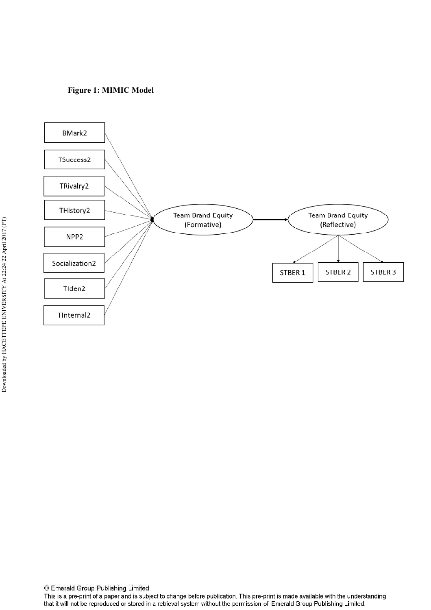



This is a pre-print of a paper and is subject to change before publication. This pre-print is made available with the understanding that it will not be reproduced or stored in a retrieval system without the permission of Emerald Group Publishing Limited.